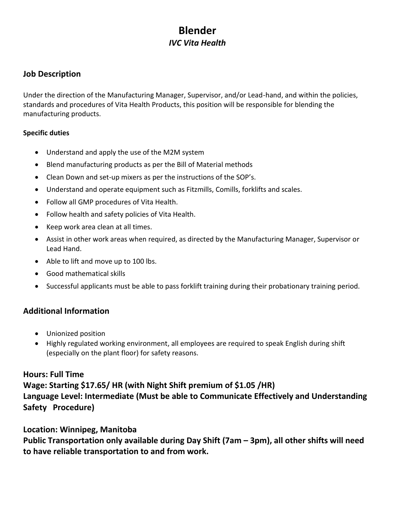# **Blender** *IVC Vita Health*

#### **Job Description**

Under the direction of the Manufacturing Manager, Supervisor, and/or Lead-hand, and within the policies, standards and procedures of Vita Health Products, this position will be responsible for blending the manufacturing products.

#### **Specific duties**

- Understand and apply the use of the M2M system
- Blend manufacturing products as per the Bill of Material methods
- Clean Down and set-up mixers as per the instructions of the SOP's.
- Understand and operate equipment such as Fitzmills, Comills, forklifts and scales.
- Follow all GMP procedures of Vita Health.
- Follow health and safety policies of Vita Health.
- Keep work area clean at all times.
- Assist in other work areas when required, as directed by the Manufacturing Manager, Supervisor or Lead Hand.
- Able to lift and move up to 100 lbs.
- Good mathematical skills
- Successful applicants must be able to pass forklift training during their probationary training period.

## **Additional Information**

- Unionized position
- Highly regulated working environment, all employees are required to speak English during shift (especially on the plant floor) for safety reasons.

## **Hours: Full Time**

**Wage: Starting \$17.65/ HR (with Night Shift premium of \$1.05 /HR) Language Level: Intermediate (Must be able to Communicate Effectively and Understanding Safety Procedure)**

#### **Location: Winnipeg, Manitoba**

**Public Transportation only available during Day Shift (7am – 3pm), all other shifts will need to have reliable transportation to and from work.**